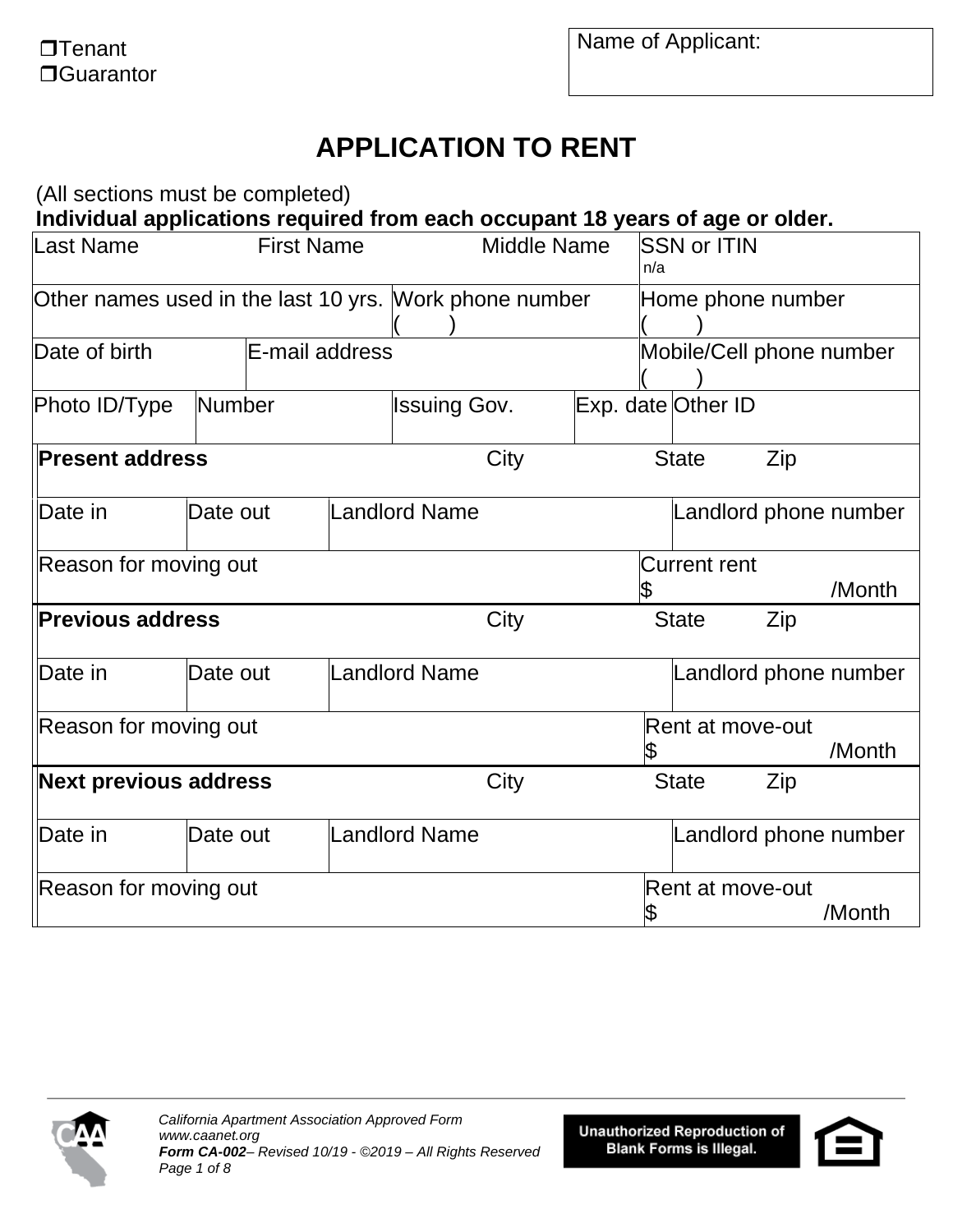# **APPLICATION TO RENT**

(All sections must be completed)

**Individual applications required from each occupant 18 years of age or older.**

| Last Name                                              | <b>First Name</b> |                      | <b>Middle Name</b>  |                    | n/a | <b>SSN or ITIN</b>  |                          |                       |
|--------------------------------------------------------|-------------------|----------------------|---------------------|--------------------|-----|---------------------|--------------------------|-----------------------|
| Other names used in the last 10 yrs. Work phone number |                   |                      |                     |                    |     |                     | Home phone number        |                       |
| Date of birth                                          | E-mail address    |                      |                     |                    |     |                     | Mobile/Cell phone number |                       |
| Photo ID/Type                                          | Number            |                      | <b>Issuing Gov.</b> | Exp. date Other ID |     |                     |                          |                       |
| <b>Present address</b>                                 |                   |                      | City                |                    |     | <b>State</b>        | Zip                      |                       |
| Date in                                                | Date out          | Landlord Name        |                     |                    |     |                     |                          | Landlord phone number |
| Reason for moving out                                  |                   |                      |                     |                    |     | <b>Current rent</b> |                          | /Month                |
| <b>Previous address</b>                                |                   |                      | City                |                    |     | <b>State</b>        | Zip                      |                       |
| Date in                                                | Date out          | <b>Landlord Name</b> |                     |                    |     |                     |                          | Landlord phone number |
| Reason for moving out                                  |                   |                      |                     |                    |     |                     | Rent at move-out         | /Month                |
| <b>Next previous address</b>                           |                   |                      | City                |                    |     | <b>State</b>        | Zip                      |                       |
| Date in                                                | Date out          | <b>Landlord Name</b> |                     |                    |     |                     |                          | Landlord phone number |
| Reason for moving out                                  |                   |                      |                     |                    |     |                     | Rent at move-out         | /Month                |



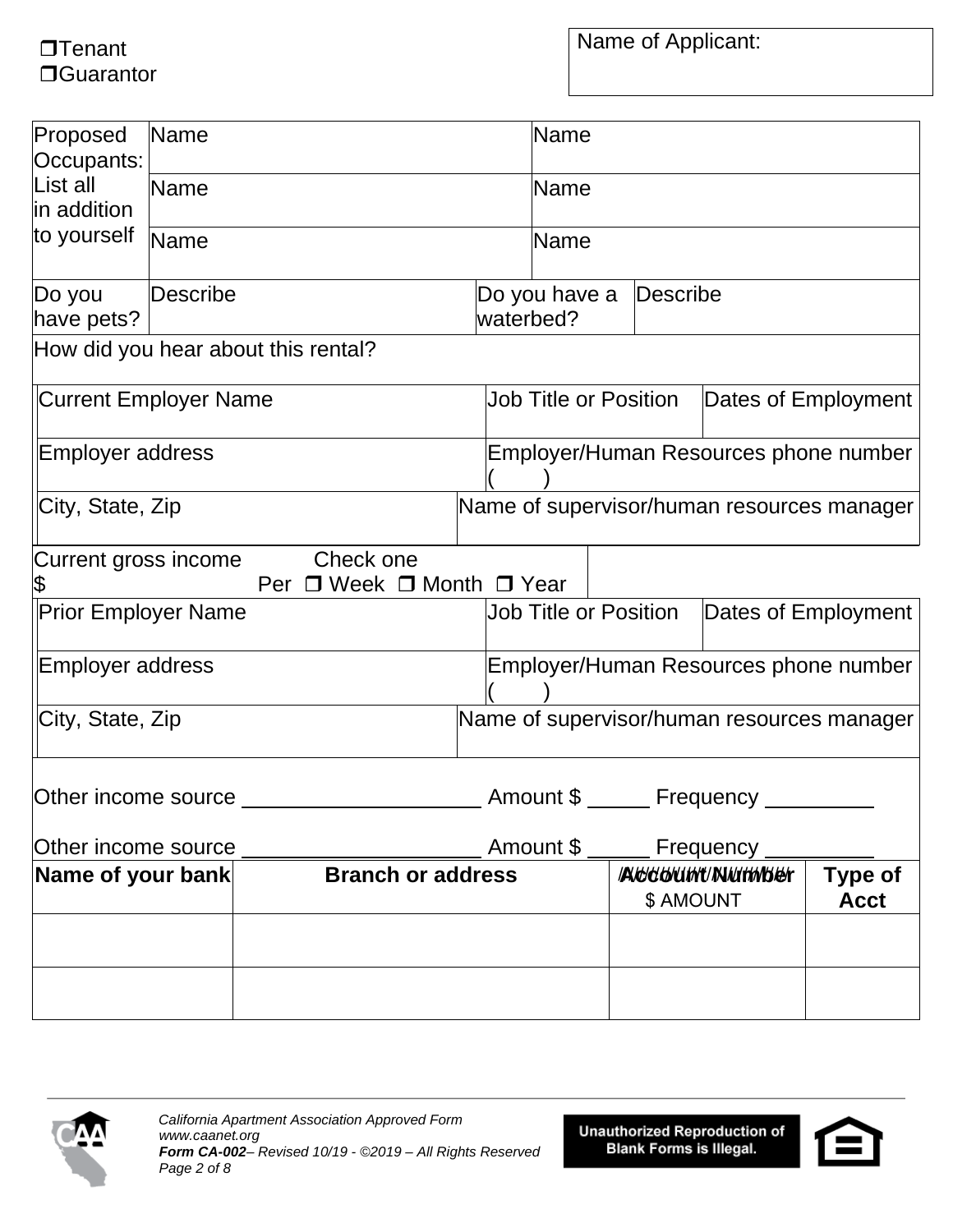$\Box$ Tenant □Guarantor Name of Applicant:

| Proposed<br>Occupants:       | Name        |                                                       |  | Name                         |                              |                       |                                            |
|------------------------------|-------------|-------------------------------------------------------|--|------------------------------|------------------------------|-----------------------|--------------------------------------------|
| List all<br>in addition      | <b>Name</b> |                                                       |  | Name                         |                              |                       |                                            |
| to yourself                  | Name        |                                                       |  | Name                         |                              |                       |                                            |
| Do you<br>have pets?         | Describe    |                                                       |  | Do you have a<br>waterbed?   | Describe                     |                       |                                            |
|                              |             | How did you hear about this rental?                   |  |                              |                              |                       |                                            |
| <b>Current Employer Name</b> |             |                                                       |  |                              | <b>Job Title or Position</b> |                       | Dates of Employment                        |
| Employer address             |             |                                                       |  |                              |                              |                       | Employer/Human Resources phone number      |
| City, State, Zip             |             |                                                       |  |                              |                              |                       | Name of supervisor/human resources manager |
| Current gross income<br>\$   |             | Check one<br>Per $\Box$ Week $\Box$ Month $\Box$ Year |  |                              |                              |                       |                                            |
| <b>Prior Employer Name</b>   |             |                                                       |  | <b>Job Title or Position</b> |                              |                       | Dates of Employment                        |
| Employer address             |             |                                                       |  |                              |                              |                       | Employer/Human Resources phone number      |
| City, State, Zip             |             |                                                       |  |                              |                              |                       | Name of supervisor/human resources manager |
| Other income source          |             |                                                       |  | Amount \$                    |                              | Frequency             |                                            |
| Other income source          |             |                                                       |  | Amount \$                    |                              | Frequency             |                                            |
| Name of your bank            |             | <b>Branch or address</b>                              |  |                              | \$ AMOUNT                    | <b>ACCOUNT/NUMBER</b> | Type of<br><b>Acct</b>                     |
|                              |             |                                                       |  |                              |                              |                       |                                            |
|                              |             |                                                       |  |                              |                              |                       |                                            |



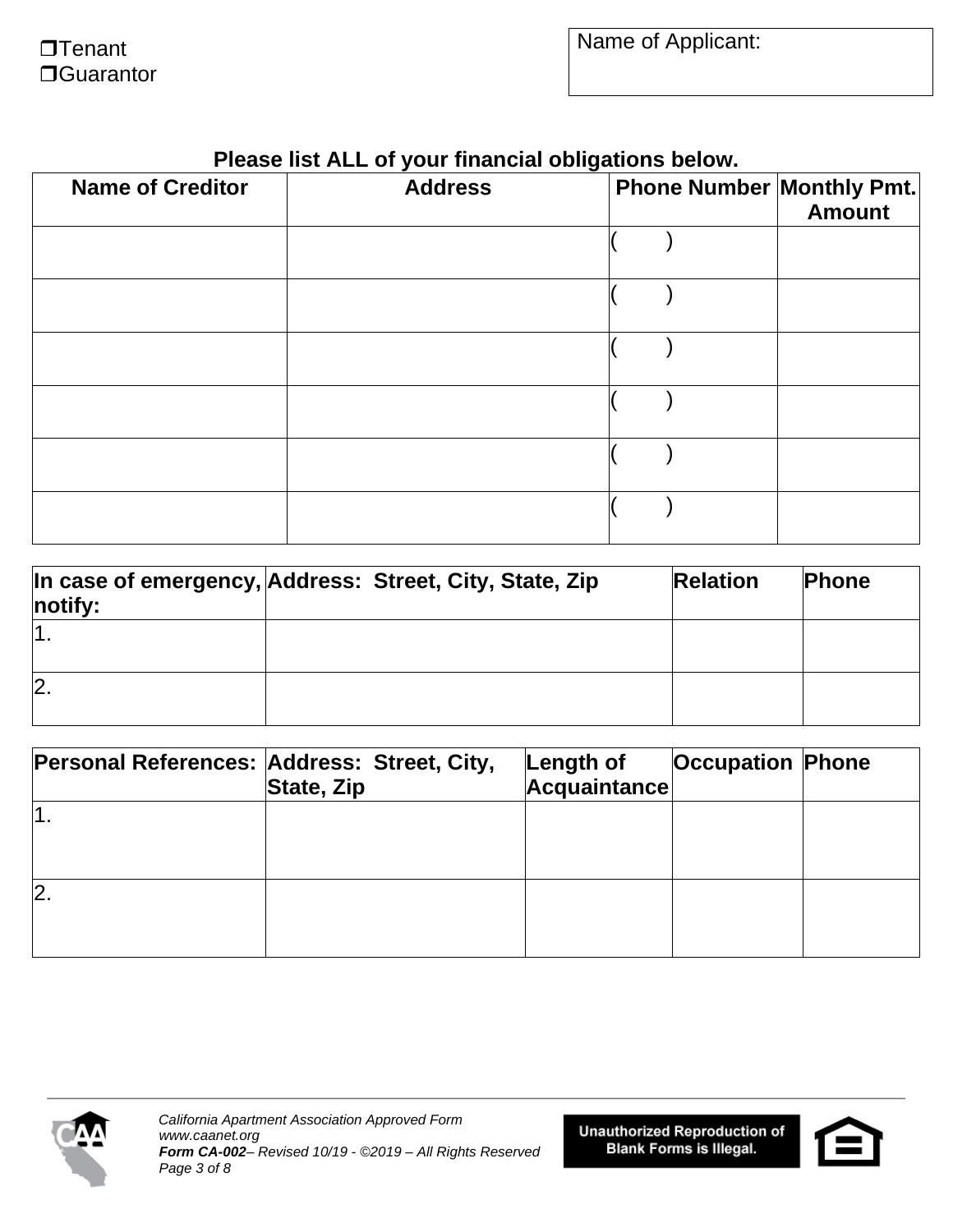| <b>Name of Creditor</b> | <b>Address</b> | ັ<br><b>Phone Number Monthly Pmt.</b> | Amount |
|-------------------------|----------------|---------------------------------------|--------|
|                         |                |                                       |        |
|                         |                |                                       |        |
|                         |                |                                       |        |
|                         |                |                                       |        |
|                         |                |                                       |        |
|                         |                |                                       |        |

### **Please list ALL of your financial obligations below.**

| notify:        | In case of emergency, Address: Street, City, State, Zip | <b>Relation</b> | <b>Phone</b> |
|----------------|---------------------------------------------------------|-----------------|--------------|
|                |                                                         |                 |              |
| $\overline{2}$ |                                                         |                 |              |

|    | Personal References: Address: Street, City,<br>State, Zip | Length of<br><b>Acquaintance</b> | <b>Occupation Phone</b> |  |
|----|-----------------------------------------------------------|----------------------------------|-------------------------|--|
|    |                                                           |                                  |                         |  |
| 2. |                                                           |                                  |                         |  |



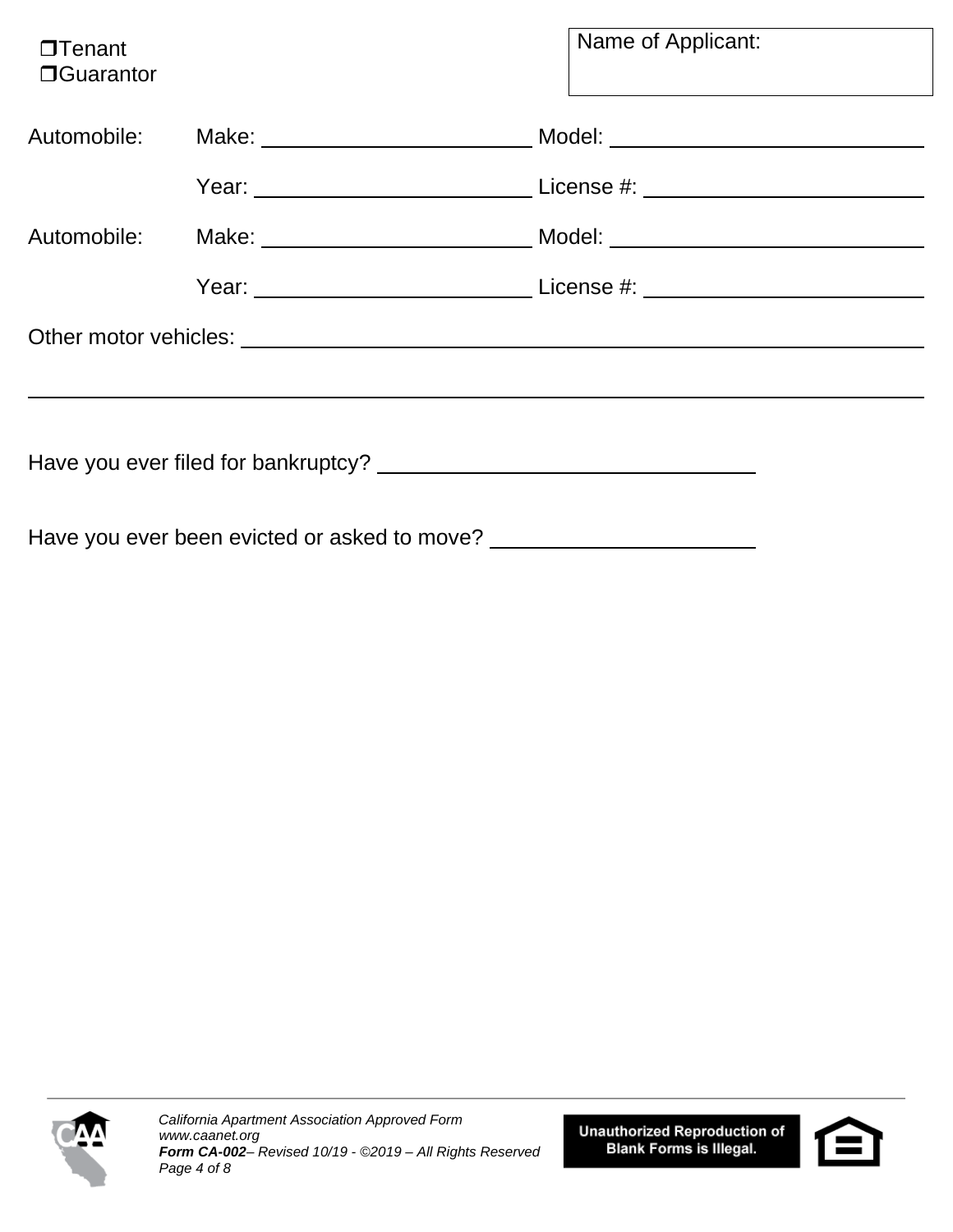| $\Box$ Tenant<br><b>O</b> Guarantor |                                              | Name of Applicant:                                                                                              |
|-------------------------------------|----------------------------------------------|-----------------------------------------------------------------------------------------------------------------|
|                                     |                                              | Automobile: Make: Make: Make: Make: Model: Model: Model: Make: Make: Model: Model: Make: Make: Make: Make: Make |
|                                     |                                              | Year: <u>Next Communications and License #:</u> License #:                                                      |
|                                     |                                              | Automobile: Make: Make: Make: Make: Model: Model: Museum Museum Museum Museum Museum Museum Museum Museum Muse  |
|                                     |                                              | Year: <u>Network: Network: License #:</u> License #:                                                            |
|                                     |                                              |                                                                                                                 |
|                                     |                                              |                                                                                                                 |
|                                     | Have you ever been evicted or asked to move? |                                                                                                                 |



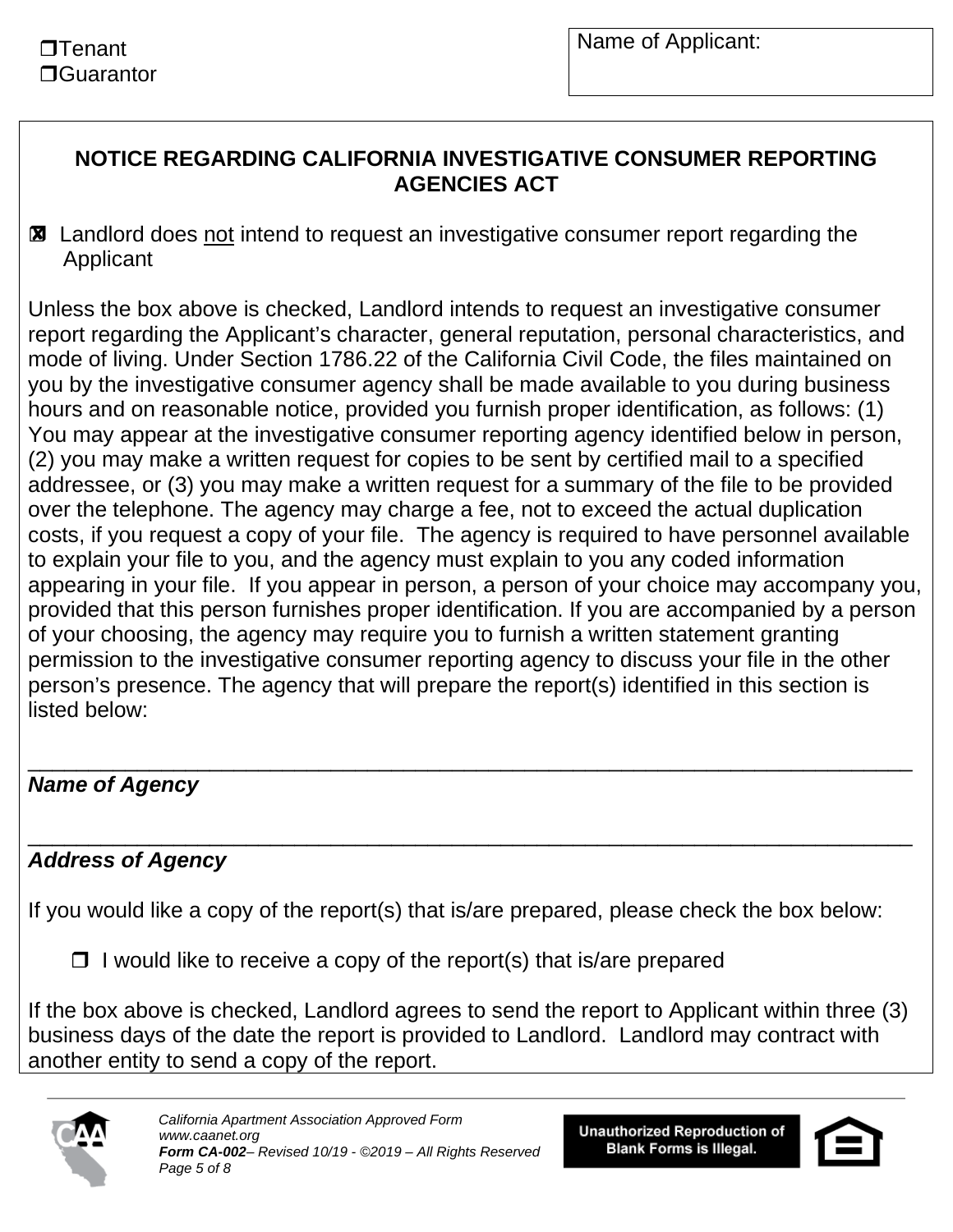#### **NOTICE REGARDING CALIFORNIA INVESTIGATIVE CONSUMER REPORTING AGENCIES ACT**

**⊠** Landlord does not intend to request an investigative consumer report regarding the Applicant

Unless the box above is checked, Landlord intends to request an investigative consumer report regarding the Applicant's character, general reputation, personal characteristics, and mode of living. Under Section 1786.22 of the California Civil Code, the files maintained on you by the investigative consumer agency shall be made available to you during business hours and on reasonable notice, provided you furnish proper identification, as follows: (1) You may appear at the investigative consumer reporting agency identified below in person, (2) you may make a written request for copies to be sent by certified mail to a specified addressee, or (3) you may make a written request for a summary of the file to be provided over the telephone. The agency may charge a fee, not to exceed the actual duplication costs, if you request a copy of your file. The agency is required to have personnel available to explain your file to you, and the agency must explain to you any coded information appearing in your file. If you appear in person, a person of your choice may accompany you, provided that this person furnishes proper identification. If you are accompanied by a person of your choosing, the agency may require you to furnish a written statement granting permission to the investigative consumer reporting agency to discuss your file in the other person's presence. The agency that will prepare the report(s) identified in this section is listed below:

#### \_\_\_\_\_\_\_\_\_\_\_\_\_\_\_\_\_\_\_\_\_\_\_\_\_\_\_\_\_\_\_\_\_\_\_\_\_\_\_\_\_\_\_\_\_\_\_\_\_\_\_\_\_\_\_\_\_\_\_\_\_\_\_\_\_\_\_\_\_\_\_\_\_ *Name of Agency*

#### \_\_\_\_\_\_\_\_\_\_\_\_\_\_\_\_\_\_\_\_\_\_\_\_\_\_\_\_\_\_\_\_\_\_\_\_\_\_\_\_\_\_\_\_\_\_\_\_\_\_\_\_\_\_\_\_\_\_\_\_\_\_\_\_\_\_\_\_\_\_\_\_\_ *Address of Agency*

If you would like a copy of the report(s) that is/are prepared, please check the box below:

 $\Box$  I would like to receive a copy of the report(s) that is/are prepared

If the box above is checked, Landlord agrees to send the report to Applicant within three (3) business days of the date the report is provided to Landlord. Landlord may contract with another entity to send a copy of the report.



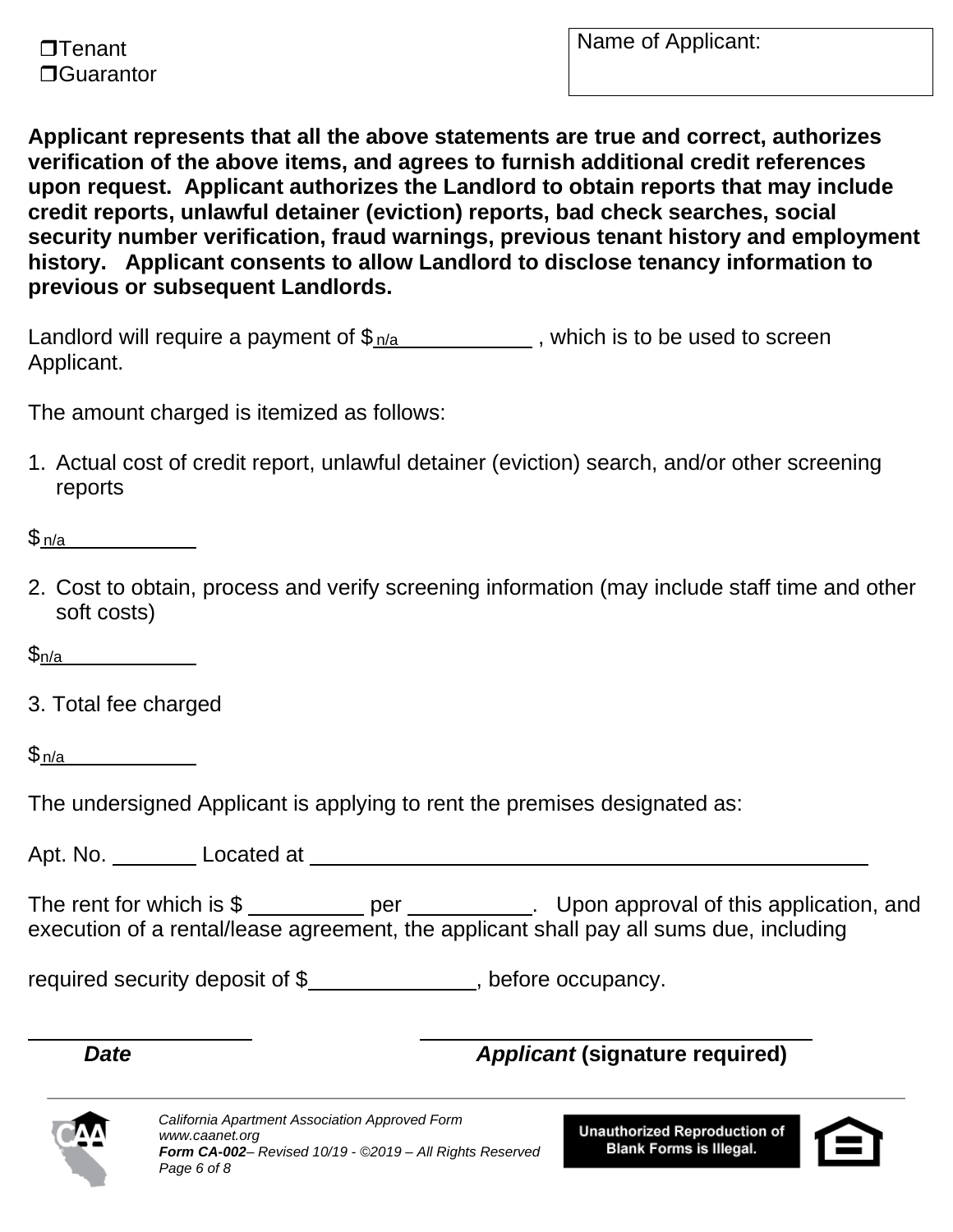

**Applicant represents that all the above statements are true and correct, authorizes verification of the above items, and agrees to furnish additional credit references upon request. Applicant authorizes the Landlord to obtain reports that may include credit reports, unlawful detainer (eviction) reports, bad check searches, social security number verification, fraud warnings, previous tenant history and employment history. Applicant consents to allow Landlord to disclose tenancy information to previous or subsequent Landlords.** 

Landlord will require a payment of  $\frac{\phi_{n/a}}{a}$  , which is to be used to screen Applicant.

The amount charged is itemized as follows:

1. Actual cost of credit report, unlawful detainer (eviction) search, and/or other screening reports

\$<u>n/a</u>

2. Cost to obtain, process and verify screening information (may include staff time and other soft costs)

 $\mathfrak{S}_{n/a}$ 

3. Total fee charged <u>n/a</u><br>. T<br><u>n/a</u>

 $\mathsf{S}_{\mathsf{n}/\mathsf{a}}$ 

The undersigned Applicant is applying to rent the premises designated as:

Apt. No. Located at

The rent for which is \$ \_\_\_\_\_\_\_\_\_\_ per \_\_\_\_\_\_\_\_\_\_. Upon approval of this application, and execution of a rental/lease agreement, the applicant shall pay all sums due, including

required security deposit of \$\_\_\_\_\_\_\_\_\_\_\_\_\_\_, before occupancy.

## *Date Applicant* **(signature required)**



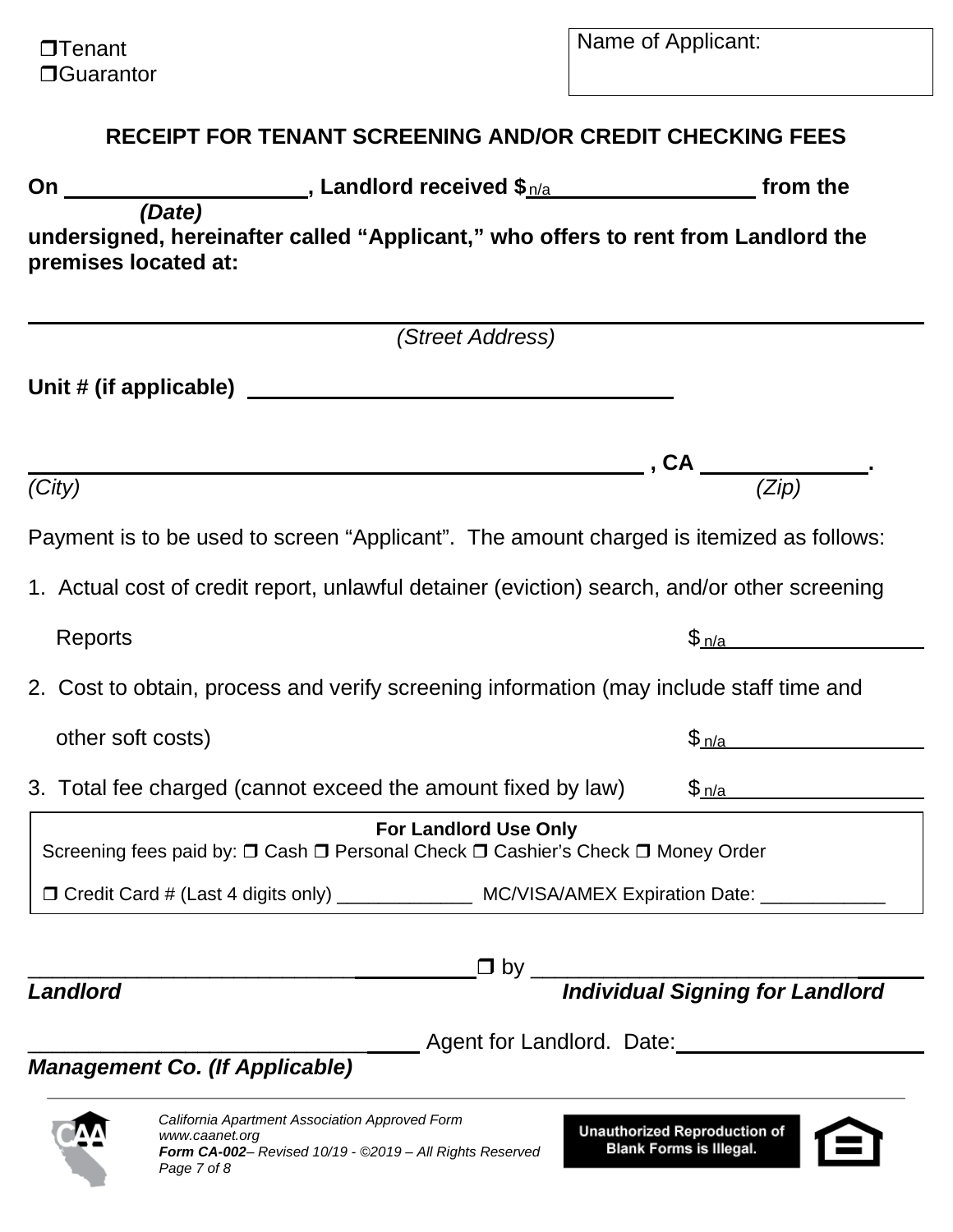## **RECEIPT FOR TENANT SCREENING AND/OR CREDIT CHECKING FEES**

| On                             |                                                                                                                                             | from the                                                              |
|--------------------------------|---------------------------------------------------------------------------------------------------------------------------------------------|-----------------------------------------------------------------------|
| (Date)<br>premises located at: | undersigned, hereinafter called "Applicant," who offers to rent from Landlord the                                                           |                                                                       |
|                                | (Street Address)                                                                                                                            |                                                                       |
|                                |                                                                                                                                             |                                                                       |
|                                |                                                                                                                                             |                                                                       |
| (City)                         |                                                                                                                                             | $\overline{\phantom{a}}$ , CA $\overline{\phantom{a}^{(2ip)}}$        |
|                                | Payment is to be used to screen "Applicant". The amount charged is itemized as follows:                                                     |                                                                       |
|                                | 1. Actual cost of credit report, unlawful detainer (eviction) search, and/or other screening                                                |                                                                       |
| Reports                        |                                                                                                                                             | \$_n/a___                                                             |
|                                | 2. Cost to obtain, process and verify screening information (may include staff time and                                                     |                                                                       |
| other soft costs)              |                                                                                                                                             | \$_n/a_                                                               |
|                                | 3. Total fee charged (cannot exceed the amount fixed by law)                                                                                | \$_n/a                                                                |
|                                | <b>For Landlord Use Only</b><br>Screening fees paid by: □ Cash □ Personal Check □ Cashier's Check □ Money Order                             |                                                                       |
|                                | □ Credit Card # (Last 4 digits only) ________________ MC/VISA/AMEX Expiration Date: _____________                                           |                                                                       |
|                                |                                                                                                                                             |                                                                       |
| Landlord                       |                                                                                                                                             |                                                                       |
|                                | <b>Management Co. (If Applicable)</b>                                                                                                       | Agent for Landlord. Date: <b>Markeller</b> Agent for Landlord.        |
|                                | California Apartment Association Approved Form<br>www.caanet.org<br>Form CA-002- Revised 10/19 - @2019 - All Rights Reserved<br>Page 7 of 8 | <b>Unauthorized Reproduction of</b><br><b>Blank Forms is Illegal.</b> |